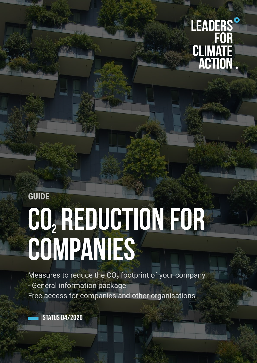# LEADERS' **CLIMATE**<br>**ACTION**

## **GUIDE CO Reduction for 2companies**

Measures to reduce the  $CO<sub>2</sub>$  footprint of your company - General information package Free access for companies and other organisations

STATUS 04/2020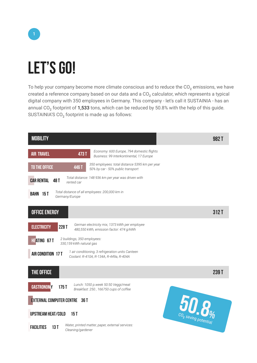

## **Let's go!**

To help your company become more climate conscious and to reduce the  $CO<sub>2</sub>$  emissions, we have created a reference company based on our data and a  $CO<sub>2</sub>$  calculator, which represents a typical digital company with 350 employees in Germany. This company - let's call it SUSTAINIA - has an annual CO<sub>2</sub> footprint of 1,533 tons, which can be reduced by 50.8% with the help of this guide. SUSTAINIA'S  $CO<sub>2</sub>$  footprint is made up as follows:

| <b>MOBILITY</b>                                                                                                           | 982 T |
|---------------------------------------------------------------------------------------------------------------------------|-------|
| Economy: 600 Europe, 794 domestic flights<br><b>AIR TRAVEL</b><br>473T<br>Business: 99 Interkontinental, 17 Europe        |       |
| 350 employees: total distance 5395 km per year<br>TO THE OFFICE<br><b>446 T</b><br>50% by car - 50% public transport      |       |
| Total distance: 148 936 km per year was driven with<br><b>CAR RENTAL</b><br>48 T<br>rented car                            |       |
| Total distance of all employees: 200,000 km in<br>BAHN 15T<br>Germany/Europe                                              |       |
| <b>OFFICE ENERGY</b>                                                                                                      | 312T  |
| German electricity mix, 1373 kWh per employee<br><b>ELECTRICITY</b><br>228T<br>480,550 kWh, emission factor: 474 g/kWh    |       |
| 2 buildings, 350 employees:<br><b>HEATING 67T</b><br>330,159 kWh natural gas                                              |       |
| 1 air conditioning, 3 refrigeration units Canteen<br><b>AIR CONDITION 17 T</b><br>Coolant: R-410A, R-134A, R-449a, R-404A |       |
| THE OFFICE                                                                                                                | 239T  |
| Lunch: 1050 p.week 50:50 Veggi/meat<br><b>GASTRONOMY</b><br>175T<br>Breakfast: 250, 166750 cups of coffee                 |       |
| <b>EXTERNAL COMPUTER CENTRE 36 T</b>                                                                                      |       |
| 50.8<br><b>UPSTREAM HEAT/COLD</b><br>15T                                                                                  |       |
| Water, printed matter, paper, external services:<br><b>FACILITIES</b><br>13T<br>Cleaning/gardener                         |       |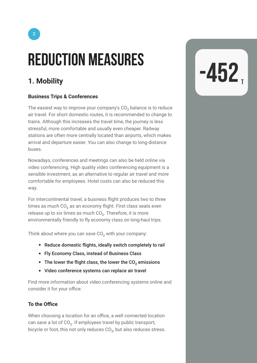# **REDUCTION MEASURES**<br>1. Mobility

#### **Business Trips & Conferences**

The easiest way to improve your company's  $CO<sub>2</sub>$  balance is to reduce air travel. For short domestic routes, it is recommended to change to trains. Although this increases the travel time, the journey is less stressful, more comfortable and usually even cheaper. Railway stations are often more centrally located than airports, which makes arrival and departure easier. You can also change to long-distance buses.

Nowadays, conferences and meetings can also be held online via video conferencing. High quality video conferencing equipment is a sensible investment, as an alternative to regular air travel and more comfortable for employees. Hotel costs can also be reduced this way.

For intercontinental travel, a business flight produces two to three times as much  $CO<sub>2</sub>$  as an economy flight. First class seats even release up to six times as much  $CO<sub>2</sub>$ . Therefore, it is more environmentally friendly to fly economy class on long-haul trips.

Think about where you can save  $CO<sub>2</sub>$  with your company:

- Reduce domestic flights, ideally switch completely to rail
- Fly Economy Class, instead of Business Class
- The lower the flight class, the lower the CO<sub>2</sub> emissions
- Video conference systems can replace air travel

Find more information about video conferencing systems online and consider it for your office.

#### **To the Office**

When choosing a location for an office, a well connected location can save a lot of CO<sub>2</sub>. If employees travel by public transport, bicycle or foot, this not only reduces  $CO<sub>2</sub>$ , but also reduces stress.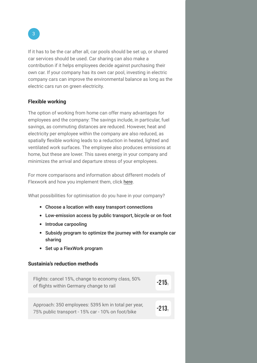If it has to be the car after all, car pools should be set up, or shared car services should be used. Car sharing can also make a contribution if it helps employees decide against purchasing their own car. If your company has its own car pool, investing in electric company cars can improve the environmental balance as long as the electric cars run on green electricity.

#### **Flexible working**

The option of working from home can offer many advantages for employees and the company: The savings include, in particular, fuel savings, as commuting distances are reduced. However, heat and electricity per employee within the company are also reduced, as spatially flexible working leads to a reduction in heated, lighted and ventilated work surfaces. The employee also produces emissions at home, but these are lower. This saves energy in your company and minimizes the arrival and departure stress of your employees.

For more comparisons and information about different models of Flexwork and how you implement them, click [here.](https://www.bt.com/static/i/media/pdf/flex_working_wp_07.pdf)

What possibilities for optimisation do you have in your company?

- Choose a location with easy transport connections
- Low-emission access by public transport, bicycle or on foot
- Introdue carpooling
- Subsidy program to optimize the journey with for example car sharing
- Set up a FlexWork program

#### **Sustainia's reduction methods**

| Flights: cancel 15%, change to economy class, 50%<br>of flights within Germany change to rail            | $-215.$ |
|----------------------------------------------------------------------------------------------------------|---------|
| Approach: 350 employees: 5395 km in total per year,<br>75% public transport - 15% car - 10% on foot/bike | $-213.$ |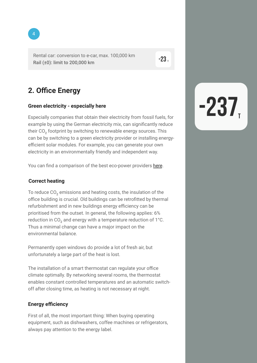Rental car: conversion to e-car, max. 100,000 km Rail (±0): limit to 200,000 km

#### **2. Office Energy**

#### **Green electricity - especially here**

Especially companies that obtain their electricity from fossil fuels, for example by using the German electricity mix, can significantly reduce their CO<sub>2</sub> footprint by switching to renewable energy sources. This can be by switching to a green electricity provider or installing energyefficient solar modules. For example, you can generate your own electricity in an environmentally friendly and independent way.

You can find a comparison of the best eco-power providers [here.](https://www.oekostrom-anbieter.info/oekostrom-vergleich/oekostrom-vergleich.html)

#### **Correct heating**

To reduce  $CO<sub>2</sub>$  emissions and heating costs, the insulation of the office building is crucial. Old buildings can be retrofitted by thermal refurbishment and in new buildings energy efficiency can be prioritised from the outset. In general, the following applies: 6% reduction in  $CO<sub>2</sub>$  and energy with a temperature reduction of 1°C. Thus a minimal change can have a major impact on the environmental balance.

Permanently open windows do provide a lot of fresh air, but unfortunately a large part of the heat is lost.

The installation of a smart thermostat can regulate your office climate optimally. By networking several rooms, the thermostat enables constant controlled temperatures and an automatic switchoff after closing time, as heating is not necessary at night.

#### **Energy efficiency**

First of all, the most important thing: When buying operating equipment, such as dishwashers, coffee machines or refrigerators, always pay attention to the energy label.



 $-23.$ 

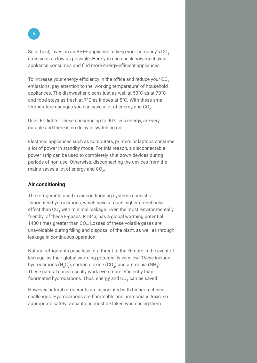So at best, invest in an  $A+++$  appliance to keep your company's  $CO<sub>2</sub>$ emissions as low as possible. [Here](https://smartricity.de) you can check how much your appliance consumes and find more energy-efficient appliances.

To increase your energy efficiency in the office and reduce your  $CO<sub>2</sub>$ emissions, pay attention to the 'working temperature' of household appliances. The dishwasher cleans just as well at 50°C as at 70°C and food stays as fresh at 7°C as it does at 5°C. With these small temperature changes you can save a lot of energy and  $CO<sub>2</sub>$ .

Use LED lights. These consume up to 90% less energy, are very durable and there is no delay in switching on.

Electrical appliances such as computers, printers or laptops consume a lot of power in standby mode. For this reason, a disconnectable power strip can be used to completely shut down devices during periods of non-use. Otherwise, disconnecting the devices from the mains saves a lot of energy and  $CO<sub>2</sub>$ .

#### **Air conditioning**

The refrigerants used in air conditioning systems consist of fluorinated hydrocarbons, which have a much higher greenhouse effect than CO<sub>2</sub> with minimal leakage. Even the most 'environmentally friendly' of these F-gases, R134a, has a global warming potential 1430 times greater than CO<sub>2</sub>. Losses of these volatile gases are unavoidable during filling and disposal of the plant, as well as through leakage in continuous operation.

Natural refrigerants pose less of a threat to the climate in the event of leakage, as their global warming potential is very low. These include hydrocarbons (H<sub>x</sub>C<sub>v</sub>), carbon dioxide (CO<sub>2</sub>) and ammonia (NH<sub>3</sub>). These natural gases usually work even more efficiently than fluorinated hydrocarbons. Thus, energy and  $CO<sub>2</sub>$  can be saved.

However, natural refrigerants are associated with higher technical challenges: Hydrocarbons are flammable and ammonia is toxic, so appropriate safety precautions must be taken when using them.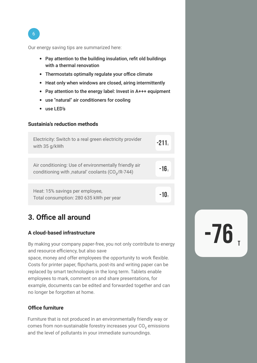6

Our energy saving tips are summarized here:

- Pay attention to the building insulation, refit old buildings with a thermal renovation
- Thermostats optimally regulate your office climate
- Heat only when windows are closed, airing intermittently
- Pay attention to the energy label: Invest in A+++ equipment
- use "natural" air conditioners for cooling
- use LED's

#### **Sustainia's reduction methods**

| Electricity: Switch to a real green electricity provider<br>with 35 g/kWh                                               | $-211r$ |
|-------------------------------------------------------------------------------------------------------------------------|---------|
|                                                                                                                         |         |
| Air conditioning: Use of environmentally friendly air<br>conditioning with , natural' coolants (CO <sub>2</sub> /R-744) | $-16.$  |
|                                                                                                                         |         |
| Heat: 15% savings per employee,<br>Total consumption: 280 635 kWh per year                                              | -10.    |

#### **3. Office all around**

#### **A cloud-based infrastructure**

By making your company paper-free, you not only contribute to energy and resource efficiency, but also save

space, money and offer employees the opportunity to work flexible. Costs for printer paper, flipcharts, post-its and writing paper can be replaced by smart technologies in the long term. Tablets enable employees to mark, comment on and share presentations, for example, documents can be edited and forwarded together and can no longer be forgotten at home.

#### **Office furniture**

Furniture that is not produced in an environmentally friendly way or comes from non-sustainable forestry increases your  $CO<sub>2</sub>$  emissions and the level of pollutants in your immediate surroundings.

 $-76$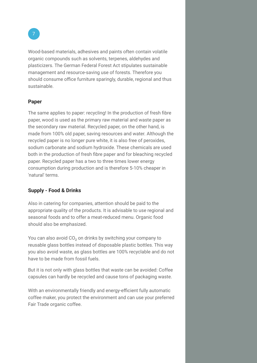Wood-based materials, adhesives and paints often contain volatile organic compounds such as solvents, terpenes, aldehydes and plasticizers. The German Federal Forest Act stipulates sustainable management and resource-saving use of forests. Therefore you should consume office furniture sparingly, durable, regional and thus sustainable.

#### **Paper**

The same applies to paper: recycling! In the production of fresh fibre paper, wood is used as the primary raw material and waste paper as the secondary raw material. Recycled paper, on the other hand, is made from 100% old paper, saving resources and water. Although the recycled paper is no longer pure white, it is also free of peroxides, sodium carbonate and sodium hydroxide. These chemicals are used both in the production of fresh fibre paper and for bleaching recycled paper. Recycled paper has a two to three times lower energy consumption during production and is therefore 5-10% cheaper in 'natural' terms.

#### **Supply - Food & Drinks**

Also in catering for companies, attention should be paid to the appropriate quality of the products. It is advisable to use regional and seasonal foods and to offer a meat-reduced menu. Organic food should also be emphasized.

You can also avoid CO<sub>2</sub> on drinks by switching your company to reusable glass bottles instead of disposable plastic bottles. This way you also avoid waste, as glass bottles are 100% recyclable and do not have to be made from fossil fuels.

But it is not only with glass bottles that waste can be avoided: Coffee capsules can hardly be recycled and cause tons of packaging waste.

With an environmentally friendly and energy-efficient fully automatic coffee maker, you protect the environment and can use your preferred Fair Trade organic coffee.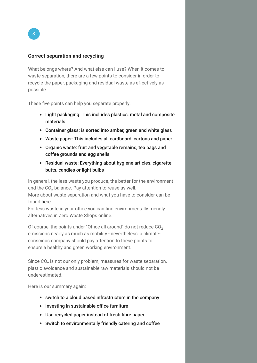#### **Correct separation and recycling**

What belongs where? And what else can I use? When it comes to waste separation, there are a few points to consider in order to recycle the paper, packaging and residual waste as effectively as possible.

These five points can help you separate properly:

- Light packaging: This includes plastics, metal and composite materials
- Container glass: is sorted into amber, green and white glass
- Waste paper: This includes all cardboard, cartons and paper
- Organic waste: fruit and vegetable remains, tea bags and coffee grounds and egg shells
- Residual waste: Everything about hygiene articles, cigarette butts, candles or light bulbs

In general, the less waste you produce, the better for the environment and the CO<sub>2</sub> balance. Pay attention to reuse as well. More about waste separation and what you have to consider can be found [here.](https://www.awm-muenchen.de/fileadmin/PDF-Dokumente/privatkunde/Trennliste_englisch.pdf) 

For less waste in your office you can find environmentally friendly alternatives in Zero Waste Shops online.

Of course, the points under "Office all around" do not reduce  $CO<sub>2</sub>$ emissions nearly as much as mobility - nevertheless, a climateconscious company should pay attention to these points to ensure a healthy and green working environment.

Since  $CO<sub>2</sub>$  is not our only problem, measures for waste separation, plastic avoidance and sustainable raw materials should not be underestimated.

Here is our summary again:

- switch to a cloud based infrastructure in the company
- Investing in sustainable office furniture
- Use recycled paper instead of fresh fibre paper
- Switch to environmentally friendly catering and coffee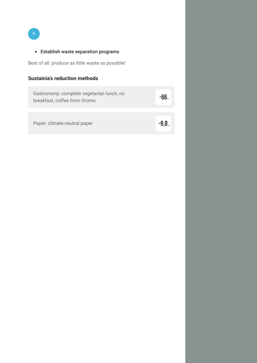9

#### Establish waste separation programs

Best of all: produce as little waste as possible!

#### **Sustainia's reduction methods**

| Gastronomy: complete vegetarian lunch, no<br>breakfast, coffee from Oromo |  |  |  |  |
|---------------------------------------------------------------------------|--|--|--|--|
|                                                                           |  |  |  |  |

Paper: climate-neutral paper<br> **-9,8**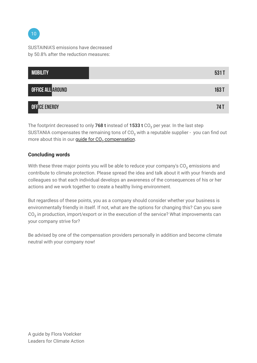SUSTAINIA'S emissions have decreased by 50.8% after the reduction measures:



The footprint decreased to only 768 t instead of  $1533$  t CO<sub>2</sub> per year. In the last step SUSTANIA compensates the remaining tons of  $CO<sub>2</sub>$  with a reputable supplier - you can find out more about this in our guide for CO<sub>2</sub> compensation.

#### **Concluding words**

With these three major points you will be able to reduce your company's  $CO<sub>2</sub>$  emissions and contribute to climate protection. Please spread the idea and talk about it with your friends and colleagues so that each individual develops an awareness of the consequences of his or her actions and we work together to create a healthy living environment.

But regardless of these points, you as a company should consider whether your business is environmentally friendly in itself. If not, what are the options for changing this? Can you save CO<sub>2</sub> in production, import/export or in the execution of the service? What improvements can your company strive for?

Be advised by one of the compensation providers personally in addition and become climate neutral with your company now!